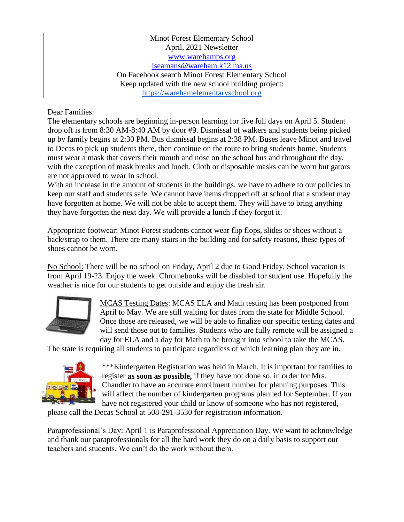## Minot Forest Elementary School April, 2021 Newsletter [www.warehamps.org](http://www.warehamps.org/)  [jseamans@wareham.k12.ma.us](mailto:jseamans@wareham.k12.ma.us) On Facebook search Minot Forest Elementary School Keep updated with the new school building project: [https://warehamelementaryschool.org](https://warehamelementaryschool.org/)

Dear Families:

The elementary schools are beginning in-person learning for five full days on April 5. Student drop off is from 8:30 AM-8:40 AM by door #9. Dismissal of walkers and students being picked up by family begins at 2:30 PM. Bus dismissal begins at 2:38 PM. Buses leave Minot and travel to Decas to pick up students there, then continue on the route to bring students home. Students must wear a mask that covers their mouth and nose on the school bus and throughout the day, with the exception of mask breaks and lunch. Cloth or disposable masks can be worn but gators are not approved to wear in school.

With an increase in the amount of students in the buildings, we have to adhere to our policies to keep our staff and students safe. We cannot have items dropped off at school that a student may have forgotten at home. We will not be able to accept them. They will have to bring anything they have forgotten the next day. We will provide a lunch if they forgot it.

Appropriate footwear: Minot Forest students cannot wear flip flops, slides or shoes without a back/strap to them. There are many stairs in the building and for safety reasons, these types of shoes cannot be worn.

No School: There will be no school on Friday, April 2 due to Good Friday. School vacation is from April 19-23. Enjoy the week. Chromebooks will be disabled for student use. Hopefully the weather is nice for our students to get outside and enjoy the fresh air.



MCAS Testing Dates: MCAS ELA and Math testing has been postponed from April to May. We are still waiting for dates from the state for Middle School. Once those are released, we will be able to finalize our specific testing dates and will send those out to families. Students who are fully remote will be assigned a day for ELA and a day for Math to be brought into school to take the MCAS.

The state is requiring all students to participate regardless of which learning plan they are in.



\*\*\*Kindergarten Registration was held in March. It is important for families to register **as soon as possible,** if they have not done so, in order for Mrs. Chandler to have an accurate enrollment number for planning purposes. This will affect the number of kindergarten programs planned for September. If you have not registered your child or know of someone who has not registered,

please call the Decas School at 508-291-3530 for registration information.

Paraprofessional's Day: April 1 is Paraprofessional Appreciation Day. We want to acknowledge and thank our paraprofessionals for all the hard work they do on a daily basis to support our teachers and students. We can't do the work without them.